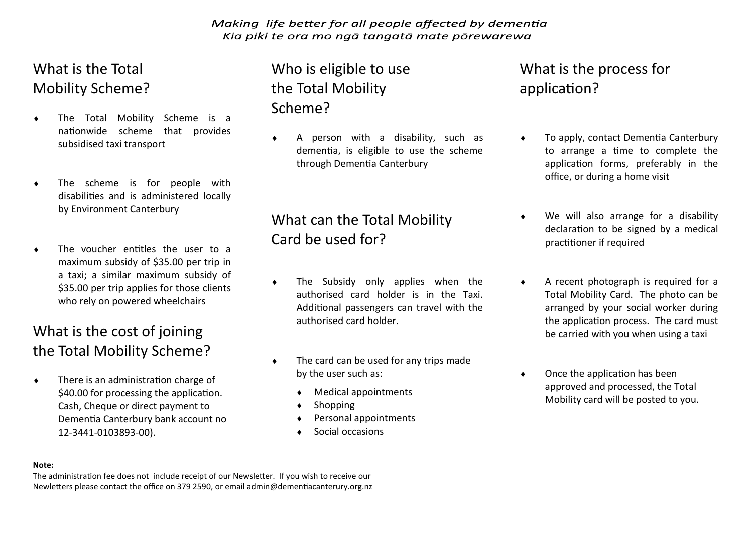Making life better for all people affected by dementia Kia piki te ora mo ngā tangatā mate pōrewarewa

#### What is the Total Mobility Scheme?

- The Total Mobility Scheme is a nationwide scheme that provides subsidised taxi transport
- The scheme is for people with disabilities and is administered locally by Environment Canterbury
- The voucher entitles the user to a maximum subsidy of \$35.00 per trip in a taxi; a similar maximum subsidy of \$35.00 per trip applies for those clients who rely on powered wheelchairs

#### What is the cost of joining the Total Mobility Scheme?

 $\bullet$  There is an administration charge of \$40.00 for processing the application. Cash, Cheque or direct payment to Dementia Canterbury bank account no 12-3441-0103893-00).

### Who is eligible to use the Total Mobility Scheme?

 A person with a disability, such as dementia, is eligible to use the scheme through Dementia Canterbury

## What can the Total Mobility Card be used for?

- The Subsidy only applies when the authorised card holder is in the Taxi. Additional passengers can travel with the authorised card holder.
- $\bullet$  The card can be used for any trips made by the user such as:
	- Medical appointments
	- Shopping
	- Personal appointments
	- Social occasions

#### What is the process for application?

- ◆ To apply, contact Dementia Canterbury to arrange a time to complete the application forms, preferably in the office, or during a home visit
- We will also arrange for a disability declaration to be signed by a medical practitioner if required
- A recent photograph is required for a Total Mobility Card. The photo can be arranged by your social worker during the application process. The card must be carried with you when using a taxi
- Once the application has been approved and processed, the Total Mobility card will be posted to you.

#### **Note:**

The administration fee does not include receipt of our Newsletter. If you wish to receive our Newletters please contact the office on 379 2590, or email admin@dementiacanterury.org.nz